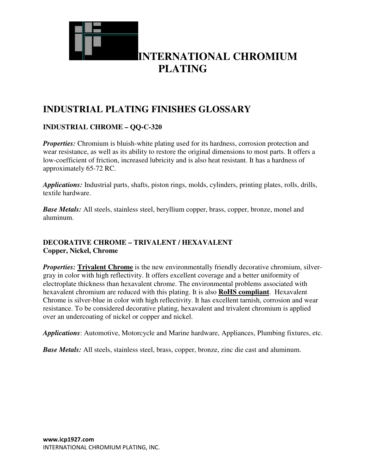

### **INDUSTRIAL PLATING FINISHES GLOSSARY**

### **INDUSTRIAL CHROME – QQ-C-320**

*Properties:* Chromium is bluish-white plating used for its hardness, corrosion protection and wear resistance, as well as its ability to restore the original dimensions to most parts. It offers a low-coefficient of friction, increased lubricity and is also heat resistant. It has a hardness of approximately 65-72 RC.

*Applications:* Industrial parts, shafts, piston rings, molds, cylinders, printing plates, rolls, drills, textile hardware.

**Base Metals:** All steels, stainless steel, beryllium copper, brass, copper, bronze, monel and aluminum.

### **DECORATIVE CHROME – TRIVALENT / HEXAVALENT Copper, Nickel, Chrome**

*Properties:* Trivalent Chrome is the new environmentally friendly decorative chromium, silvergray in color with high reflectivity. It offers excellent coverage and a better uniformity of electroplate thickness than hexavalent chrome. The environmental problems associated with hexavalent chromium are reduced with this plating. It is also **RoHS compliant**. Hexavalent Chrome is silver-blue in color with high reflectivity. It has excellent tarnish, corrosion and wear resistance. To be considered decorative plating, hexavalent and trivalent chromium is applied over an undercoating of nickel or copper and nickel.

*Applications*: Automotive, Motorcycle and Marine hardware, Appliances, Plumbing fixtures, etc.

*Base Metals:* All steels, stainless steel, brass, copper, bronze, zinc die cast and aluminum.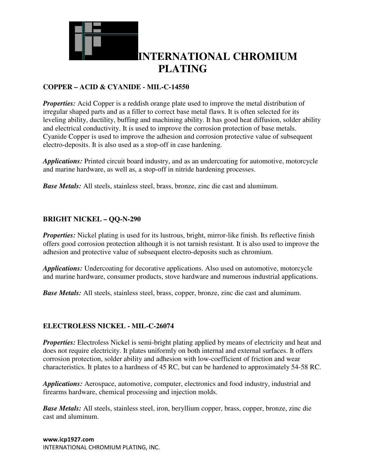

### **COPPER – ACID & CYANIDE - MIL-C-14550**

**Properties:** Acid Copper is a reddish orange plate used to improve the metal distribution of irregular shaped parts and as a filler to correct base metal flaws. It is often selected for its leveling ability, ductility, buffing and machining ability. It has good heat diffusion, solder ability and electrical conductivity. It is used to improve the corrosion protection of base metals. Cyanide Copper is used to improve the adhesion and corrosion protective value of subsequent electro-deposits. It is also used as a stop-off in case hardening.

*Applications:* Printed circuit board industry, and as an undercoating for automotive, motorcycle and marine hardware, as well as, a stop-off in nitride hardening processes.

*Base Metals:* All steels, stainless steel, brass, bronze, zinc die cast and aluminum.

### **BRIGHT NICKEL – QQ-N-290**

*Properties:* Nickel plating is used for its lustrous, bright, mirror-like finish. Its reflective finish offers good corrosion protection although it is not tarnish resistant. It is also used to improve the adhesion and protective value of subsequent electro-deposits such as chromium.

*Applications:* Undercoating for decorative applications. Also used on automotive, motorcycle and marine hardware, consumer products, stove hardware and numerous industrial applications.

*Base Metals:* All steels, stainless steel, brass, copper, bronze, zinc die cast and aluminum.

#### **ELECTROLESS NICKEL - MIL-C-26074**

*Properties:* Electroless Nickel is semi-bright plating applied by means of electricity and heat and does not require electricity. It plates uniformly on both internal and external surfaces. It offers corrosion protection, solder ability and adhesion with low-coefficient of friction and wear characteristics. It plates to a hardness of 45 RC, but can be hardened to approximately 54-58 RC.

*Applications:* Aerospace, automotive, computer, electronics and food industry, industrial and firearms hardware, chemical processing and injection molds.

*Base Metals:* All steels, stainless steel, iron, beryllium copper, brass, copper, bronze, zinc die cast and aluminum.

**www.icp1927.com**  INTERNATIONAL CHROMIUM PLATING, INC.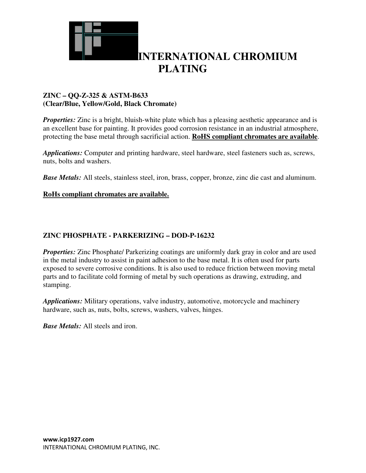

### **ZINC – QQ-Z-325 & ASTM-B633 (Clear/Blue, Yellow/Gold, Black Chromate)**

*Properties:* Zinc is a bright, bluish-white plate which has a pleasing aesthetic appearance and is an excellent base for painting. It provides good corrosion resistance in an industrial atmosphere, protecting the base metal through sacrificial action. **RoHS compliant chromates are available**.

*Applications:* Computer and printing hardware, steel hardware, steel fasteners such as, screws, nuts, bolts and washers.

*Base Metals:* All steels, stainless steel, iron, brass, copper, bronze, zinc die cast and aluminum.

#### **RoHs compliant chromates are available.**

#### **ZINC PHOSPHATE - PARKERIZING – DOD-P-16232**

*Properties:* Zinc Phosphate/ Parkerizing coatings are uniformly dark gray in color and are used in the metal industry to assist in paint adhesion to the base metal. It is often used for parts exposed to severe corrosive conditions. It is also used to reduce friction between moving metal parts and to facilitate cold forming of metal by such operations as drawing, extruding, and stamping.

*Applications:* Military operations, valve industry, automotive, motorcycle and machinery hardware, such as, nuts, bolts, screws, washers, valves, hinges.

*Base Metals:* All steels and iron.